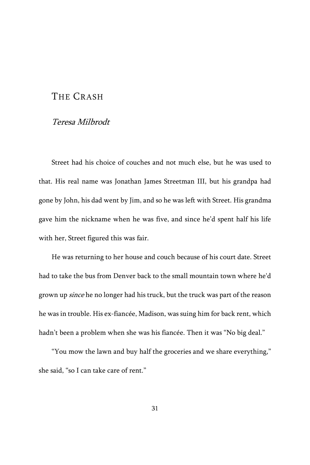# THE CRASH

## Teresa Milbrodt

Street had his choice of couches and not much else, but he was used to that. His real name was Jonathan James Streetman III, but his grandpa had gone by John, his dad went by Jim, and so he was left with Street. His grandma gave him the nickname when he was five, and since he'd spent half his life with her, Street figured this was fair.

He was returning to her house and couch because of his court date. Street had to take the bus from Denver back to the small mountain town where he'd grown up *since* he no longer had his truck, but the truck was part of the reason he was in trouble. His ex-fiancée, Madison, was suing him for back rent, which hadn't been a problem when she was his fiancée. Then it was "No big deal."

"You mow the lawn and buy half the groceries and we share everything," she said, "so I can take care of rent."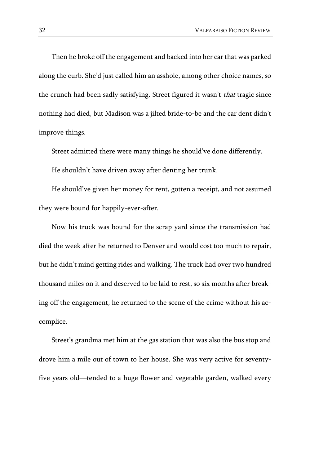Then he broke off the engagement and backed into her car that was parked along the curb. She'd just called him an asshole, among other choice names, so the crunch had been sadly satisfying. Street figured it wasn't that tragic since nothing had died, but Madison was a jilted bride-to-be and the car dent didn't improve things.

Street admitted there were many things he should've done differently. He shouldn't have driven away after denting her trunk.

He should've given her money for rent, gotten a receipt, and not assumed they were bound for happily-ever-after.

Now his truck was bound for the scrap yard since the transmission had died the week after he returned to Denver and would cost too much to repair, but he didn't mind getting rides and walking. The truck had over two hundred thousand miles on it and deserved to be laid to rest, so six months after breaking off the engagement, he returned to the scene of the crime without his accomplice.

Street's grandma met him at the gas station that was also the bus stop and drove him a mile out of town to her house. She was very active for seventyfive years old—tended to a huge flower and vegetable garden, walked every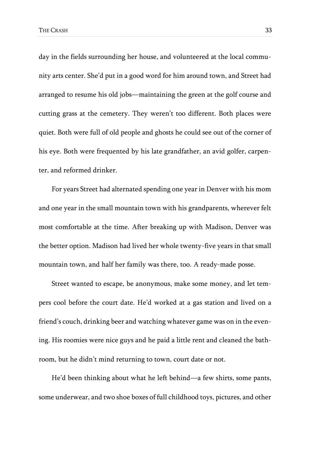day in the fields surrounding her house, and volunteered at the local community arts center. She'd put in a good word for him around town, and Street had arranged to resume his old jobs—maintaining the green at the golf course and cutting grass at the cemetery. They weren't too different. Both places were quiet. Both were full of old people and ghosts he could see out of the corner of his eye. Both were frequented by his late grandfather, an avid golfer, carpenter, and reformed drinker.

For years Street had alternated spending one year in Denver with his mom and one year in the small mountain town with his grandparents, wherever felt most comfortable at the time. After breaking up with Madison, Denver was the better option. Madison had lived her whole twenty-five years in that small mountain town, and half her family was there, too. A ready-made posse.

Street wanted to escape, be anonymous, make some money, and let tempers cool before the court date. He'd worked at a gas station and lived on a friend's couch, drinking beer and watching whatever game was on in the evening. His roomies were nice guys and he paid a little rent and cleaned the bathroom, but he didn't mind returning to town, court date or not.

He'd been thinking about what he left behind—a few shirts, some pants, some underwear, and two shoe boxes of full childhood toys, pictures, and other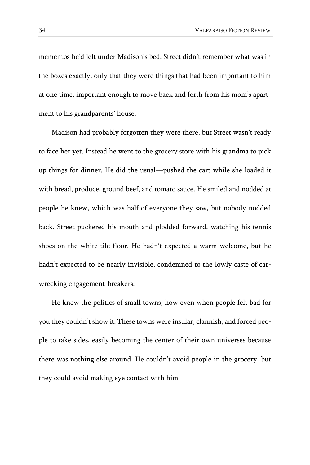mementos he'd left under Madison's bed. Street didn't remember what was in the boxes exactly, only that they were things that had been important to him at one time, important enough to move back and forth from his mom's apartment to his grandparents' house.

Madison had probably forgotten they were there, but Street wasn't ready to face her yet. Instead he went to the grocery store with his grandma to pick up things for dinner. He did the usual—pushed the cart while she loaded it with bread, produce, ground beef, and tomato sauce. He smiled and nodded at people he knew, which was half of everyone they saw, but nobody nodded back. Street puckered his mouth and plodded forward, watching his tennis shoes on the white tile floor. He hadn't expected a warm welcome, but he hadn't expected to be nearly invisible, condemned to the lowly caste of carwrecking engagement-breakers.

He knew the politics of small towns, how even when people felt bad for you they couldn't show it. These towns were insular, clannish, and forced people to take sides, easily becoming the center of their own universes because there was nothing else around. He couldn't avoid people in the grocery, but they could avoid making eye contact with him.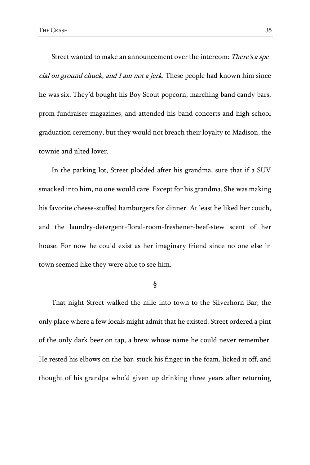Street wanted to make an announcement over the intercom: There's a special on ground chuck, and I am not a jerk. These people had known him since he was six. They'd bought his Boy Scout popcorn, marching band candy bars, prom fundraiser magazines, and attended his band concerts and high school graduation ceremony, but they would not breach their loyalty to Madison, the townie and jilted lover.

In the parking lot, Street plodded after his grandma, sure that if a SUV smacked into him, no one would care. Except for his grandma. She was making his favorite cheese-stuffed hamburgers for dinner. At least he liked her couch, and the laundry-detergent-floral-room-freshener-beef-stew scent of her house. For now he could exist as her imaginary friend since no one else in town seemed like they were able to see him.

§

That night Street walked the mile into town to the Silverhorn Bar; the only place where a few locals might admit that he existed. Street ordered a pint of the only dark beer on tap, a brew whose name he could never remember. He rested his elbows on the bar, stuck his finger in the foam, licked it off, and thought of his grandpa who'd given up drinking three years after returning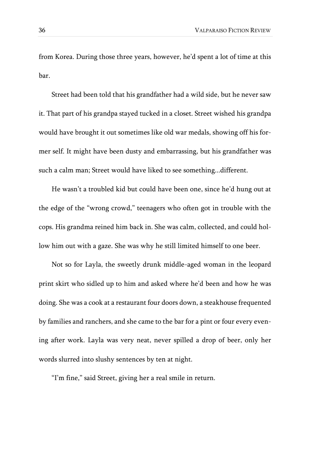from Korea. During those three years, however, he'd spent a lot of time at this bar.

Street had been told that his grandfather had a wild side, but he never saw it. That part of his grandpa stayed tucked in a closet. Street wished his grandpa would have brought it out sometimes like old war medals, showing off his former self. It might have been dusty and embarrassing, but his grandfather was such a calm man; Street would have liked to see something...different.

He wasn't a troubled kid but could have been one, since he'd hung out at the edge of the "wrong crowd," teenagers who often got in trouble with the cops. His grandma reined him back in. She was calm, collected, and could hollow him out with a gaze. She was why he still limited himself to one beer.

Not so for Layla, the sweetly drunk middle-aged woman in the leopard print skirt who sidled up to him and asked where he'd been and how he was doing. She was a cook at a restaurant four doors down, a steakhouse frequented by families and ranchers, and she came to the bar for a pint or four every evening after work. Layla was very neat, never spilled a drop of beer, only her words slurred into slushy sentences by ten at night.

"I'm fine," said Street, giving her a real smile in return.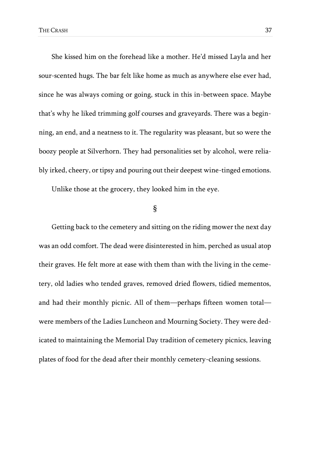She kissed him on the forehead like a mother. He'd missed Layla and her sour-scented hugs. The bar felt like home as much as anywhere else ever had, since he was always coming or going, stuck in this in-between space. Maybe that's why he liked trimming golf courses and graveyards. There was a beginning, an end, and a neatness to it. The regularity was pleasant, but so were the boozy people at Silverhorn. They had personalities set by alcohol, were reliably irked, cheery, or tipsy and pouring out their deepest wine-tinged emotions.

Unlike those at the grocery, they looked him in the eye.

§

Getting back to the cemetery and sitting on the riding mower the next day was an odd comfort. The dead were disinterested in him, perched as usual atop their graves. He felt more at ease with them than with the living in the cemetery, old ladies who tended graves, removed dried flowers, tidied mementos, and had their monthly picnic. All of them—perhaps fifteen women total were members of the Ladies Luncheon and Mourning Society. They were dedicated to maintaining the Memorial Day tradition of cemetery picnics, leaving plates of food for the dead after their monthly cemetery-cleaning sessions.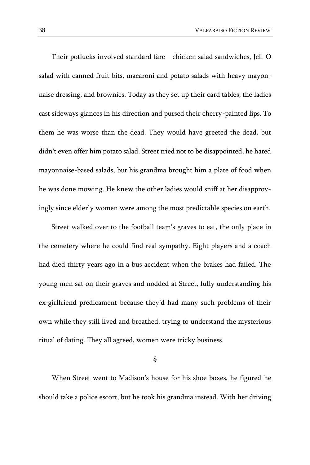Their potlucks involved standard fare—chicken salad sandwiches, Jell-O salad with canned fruit bits, macaroni and potato salads with heavy mayonnaise dressing, and brownies. Today as they set up their card tables, the ladies cast sideways glances in his direction and pursed their cherry-painted lips. To them he was worse than the dead. They would have greeted the dead, but didn't even offer him potato salad. Street tried not to be disappointed, he hated mayonnaise-based salads, but his grandma brought him a plate of food when he was done mowing. He knew the other ladies would sniff at her disapprovingly since elderly women were among the most predictable species on earth.

Street walked over to the football team's graves to eat, the only place in the cemetery where he could find real sympathy. Eight players and a coach had died thirty years ago in a bus accident when the brakes had failed. The young men sat on their graves and nodded at Street, fully understanding his ex-girlfriend predicament because they'd had many such problems of their own while they still lived and breathed, trying to understand the mysterious ritual of dating. They all agreed, women were tricky business.

§

When Street went to Madison's house for his shoe boxes, he figured he should take a police escort, but he took his grandma instead. With her driving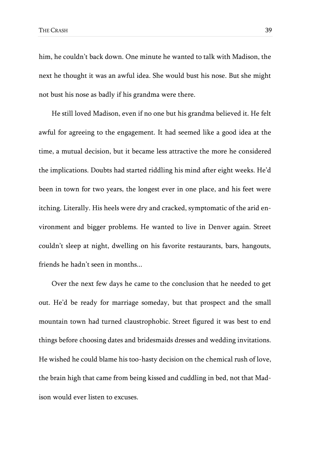him, he couldn't back down. One minute he wanted to talk with Madison, the next he thought it was an awful idea. She would bust his nose. But she might not bust his nose as badly if his grandma were there.

He still loved Madison, even if no one but his grandma believed it. He felt awful for agreeing to the engagement. It had seemed like a good idea at the time, a mutual decision, but it became less attractive the more he considered the implications. Doubts had started riddling his mind after eight weeks. He'd been in town for two years, the longest ever in one place, and his feet were itching. Literally. His heels were dry and cracked, symptomatic of the arid environment and bigger problems. He wanted to live in Denver again. Street couldn't sleep at night, dwelling on his favorite restaurants, bars, hangouts, friends he hadn't seen in months...

Over the next few days he came to the conclusion that he needed to get out. He'd be ready for marriage someday, but that prospect and the small mountain town had turned claustrophobic. Street figured it was best to end things before choosing dates and bridesmaids dresses and wedding invitations. He wished he could blame his too-hasty decision on the chemical rush of love, the brain high that came from being kissed and cuddling in bed, not that Madison would ever listen to excuses.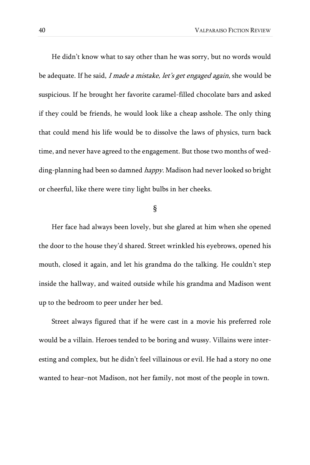He didn't know what to say other than he was sorry, but no words would be adequate. If he said, I made a mistake, let's get engaged again, she would be suspicious. If he brought her favorite caramel-filled chocolate bars and asked if they could be friends, he would look like a cheap asshole. The only thing that could mend his life would be to dissolve the laws of physics, turn back time, and never have agreed to the engagement. But those two months of wedding-planning had been so damned *happy*. Madison had never looked so bright or cheerful, like there were tiny light bulbs in her cheeks.

§

Her face had always been lovely, but she glared at him when she opened the door to the house they'd shared. Street wrinkled his eyebrows, opened his mouth, closed it again, and let his grandma do the talking. He couldn't step inside the hallway, and waited outside while his grandma and Madison went up to the bedroom to peer under her bed.

Street always figured that if he were cast in a movie his preferred role would be a villain. Heroes tended to be boring and wussy. Villains were interesting and complex, but he didn't feel villainous or evil. He had a story no one wanted to hear–not Madison, not her family, not most of the people in town.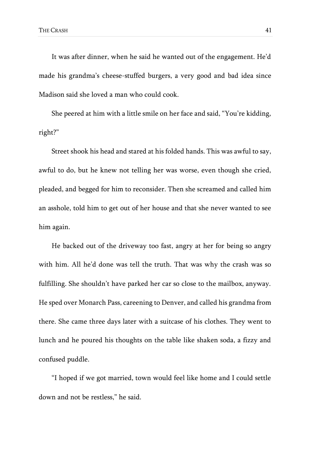It was after dinner, when he said he wanted out of the engagement. He'd made his grandma's cheese-stuffed burgers, a very good and bad idea since Madison said she loved a man who could cook.

She peered at him with a little smile on her face and said, "You're kidding, right?"

Street shook his head and stared at his folded hands. This was awful to say, awful to do, but he knew not telling her was worse, even though she cried, pleaded, and begged for him to reconsider. Then she screamed and called him an asshole, told him to get out of her house and that she never wanted to see him again.

He backed out of the driveway too fast, angry at her for being so angry with him. All he'd done was tell the truth. That was why the crash was so fulfilling. She shouldn't have parked her car so close to the mailbox, anyway. He sped over Monarch Pass, careening to Denver, and called his grandma from there. She came three days later with a suitcase of his clothes. They went to lunch and he poured his thoughts on the table like shaken soda, a fizzy and confused puddle.

"I hoped if we got married, town would feel like home and I could settle down and not be restless," he said.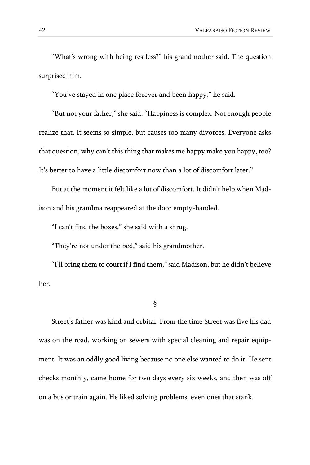"What's wrong with being restless?" his grandmother said. The question surprised him.

"You've stayed in one place forever and been happy," he said.

"But not your father," she said. "Happiness is complex. Not enough people realize that. It seems so simple, but causes too many divorces. Everyone asks that question, why can't this thing that makes me happy make you happy, too? It's better to have a little discomfort now than a lot of discomfort later."

But at the moment it felt like a lot of discomfort. It didn't help when Madison and his grandma reappeared at the door empty-handed.

"I can't find the boxes," she said with a shrug.

"They're not under the bed," said his grandmother.

"I'll bring them to court if I find them," said Madison, but he didn't believe her.

§

Street's father was kind and orbital. From the time Street was five his dad was on the road, working on sewers with special cleaning and repair equipment. It was an oddly good living because no one else wanted to do it. He sent checks monthly, came home for two days every six weeks, and then was off on a bus or train again. He liked solving problems, even ones that stank.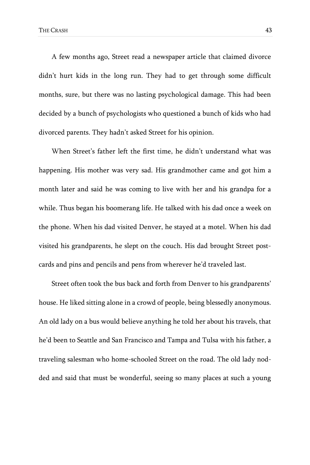A few months ago, Street read a newspaper article that claimed divorce didn't hurt kids in the long run. They had to get through some difficult months, sure, but there was no lasting psychological damage. This had been decided by a bunch of psychologists who questioned a bunch of kids who had divorced parents. They hadn't asked Street for his opinion.

When Street's father left the first time, he didn't understand what was happening. His mother was very sad. His grandmother came and got him a month later and said he was coming to live with her and his grandpa for a while. Thus began his boomerang life. He talked with his dad once a week on the phone. When his dad visited Denver, he stayed at a motel. When his dad visited his grandparents, he slept on the couch. His dad brought Street postcards and pins and pencils and pens from wherever he'd traveled last.

Street often took the bus back and forth from Denver to his grandparents' house. He liked sitting alone in a crowd of people, being blessedly anonymous. An old lady on a bus would believe anything he told her about his travels, that he'd been to Seattle and San Francisco and Tampa and Tulsa with his father, a traveling salesman who home-schooled Street on the road. The old lady nodded and said that must be wonderful, seeing so many places at such a young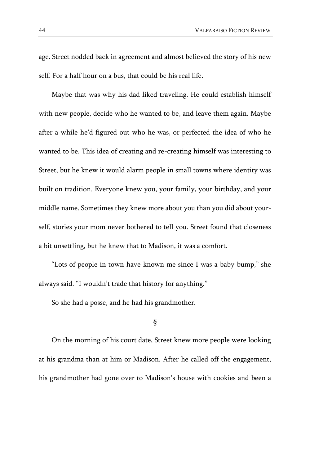age. Street nodded back in agreement and almost believed the story of his new self. For a half hour on a bus, that could be his real life.

Maybe that was why his dad liked traveling. He could establish himself with new people, decide who he wanted to be, and leave them again. Maybe after a while he'd figured out who he was, or perfected the idea of who he wanted to be. This idea of creating and re-creating himself was interesting to Street, but he knew it would alarm people in small towns where identity was built on tradition. Everyone knew you, your family, your birthday, and your middle name. Sometimes they knew more about you than you did about yourself, stories your mom never bothered to tell you. Street found that closeness a bit unsettling, but he knew that to Madison, it was a comfort.

"Lots of people in town have known me since I was a baby bump," she always said. "I wouldn't trade that history for anything."

So she had a posse, and he had his grandmother.

### §

On the morning of his court date, Street knew more people were looking at his grandma than at him or Madison. After he called off the engagement, his grandmother had gone over to Madison's house with cookies and been a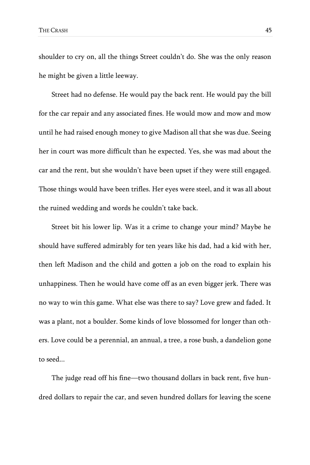shoulder to cry on, all the things Street couldn't do. She was the only reason he might be given a little leeway.

Street had no defense. He would pay the back rent. He would pay the bill for the car repair and any associated fines. He would mow and mow and mow until he had raised enough money to give Madison all that she was due. Seeing her in court was more difficult than he expected. Yes, she was mad about the car and the rent, but she wouldn't have been upset if they were still engaged. Those things would have been trifles. Her eyes were steel, and it was all about the ruined wedding and words he couldn't take back.

Street bit his lower lip. Was it a crime to change your mind? Maybe he should have suffered admirably for ten years like his dad, had a kid with her, then left Madison and the child and gotten a job on the road to explain his unhappiness. Then he would have come off as an even bigger jerk. There was no way to win this game. What else was there to say? Love grew and faded. It was a plant, not a boulder. Some kinds of love blossomed for longer than others. Love could be a perennial, an annual, a tree, a rose bush, a dandelion gone to seed...

The judge read off his fine—two thousand dollars in back rent, five hundred dollars to repair the car, and seven hundred dollars for leaving the scene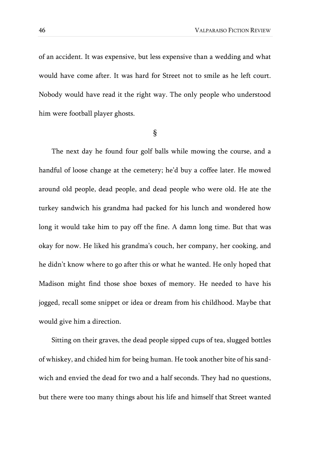of an accident. It was expensive, but less expensive than a wedding and what would have come after. It was hard for Street not to smile as he left court. Nobody would have read it the right way. The only people who understood him were football player ghosts.

#### §

The next day he found four golf balls while mowing the course, and a handful of loose change at the cemetery; he'd buy a coffee later. He mowed around old people, dead people, and dead people who were old. He ate the turkey sandwich his grandma had packed for his lunch and wondered how long it would take him to pay off the fine. A damn long time. But that was okay for now. He liked his grandma's couch, her company, her cooking, and he didn't know where to go after this or what he wanted. He only hoped that Madison might find those shoe boxes of memory. He needed to have his jogged, recall some snippet or idea or dream from his childhood. Maybe that would give him a direction.

Sitting on their graves, the dead people sipped cups of tea, slugged bottles of whiskey, and chided him for being human. He took another bite of his sandwich and envied the dead for two and a half seconds. They had no questions, but there were too many things about his life and himself that Street wanted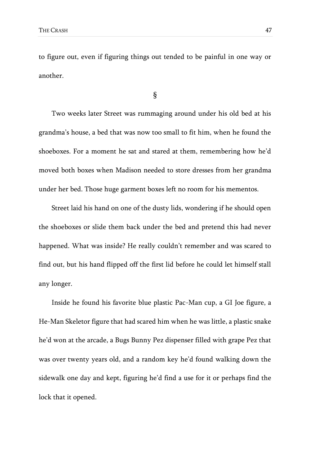to figure out, even if figuring things out tended to be painful in one way or another.

### §

Two weeks later Street was rummaging around under his old bed at his grandma's house, a bed that was now too small to fit him, when he found the shoeboxes. For a moment he sat and stared at them, remembering how he'd moved both boxes when Madison needed to store dresses from her grandma under her bed. Those huge garment boxes left no room for his mementos.

Street laid his hand on one of the dusty lids, wondering if he should open the shoeboxes or slide them back under the bed and pretend this had never happened. What was inside? He really couldn't remember and was scared to find out, but his hand flipped off the first lid before he could let himself stall any longer.

Inside he found his favorite blue plastic Pac-Man cup, a GI Joe figure, a He-Man Skeletor figure that had scared him when he was little, a plastic snake he'd won at the arcade, a Bugs Bunny Pez dispenser filled with grape Pez that was over twenty years old, and a random key he'd found walking down the sidewalk one day and kept, figuring he'd find a use for it or perhaps find the lock that it opened.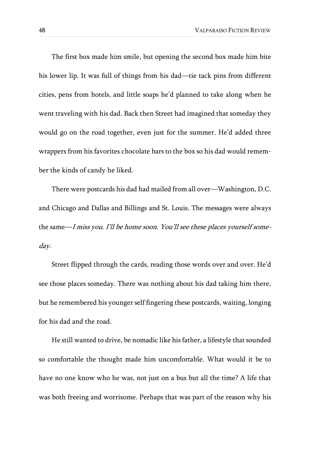The first box made him smile, but opening the second box made him bite his lower lip. It was full of things from his dad—tie tack pins from different cities, pens from hotels, and little soaps he'd planned to take along when he went traveling with his dad. Back then Street had imagined that someday they would go on the road together, even just for the summer. He'd added three wrappers from his favorites chocolate bars to the box so his dad would remember the kinds of candy he liked.

There were postcards his dad had mailed from all over—Washington, D.C. and Chicago and Dallas and Billings and St. Louis. The messages were always the same—I miss you. I'll be home soon. You'll see these places yourself someday.

Street flipped through the cards, reading those words over and over. He'd see those places someday. There was nothing about his dad taking him there, but he remembered his younger self fingering these postcards, waiting, longing for his dad and the road.

He still wanted to drive, be nomadic like his father, a lifestyle that sounded so comfortable the thought made him uncomfortable. What would it be to have no one know who he was, not just on a bus but all the time? A life that was both freeing and worrisome. Perhaps that was part of the reason why his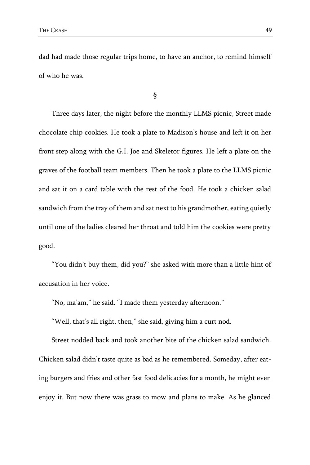dad had made those regular trips home, to have an anchor, to remind himself of who he was.

§

Three days later, the night before the monthly LLMS picnic, Street made chocolate chip cookies. He took a plate to Madison's house and left it on her front step along with the G.I. Joe and Skeletor figures. He left a plate on the graves of the football team members. Then he took a plate to the LLMS picnic and sat it on a card table with the rest of the food. He took a chicken salad sandwich from the tray of them and sat next to his grandmother, eating quietly until one of the ladies cleared her throat and told him the cookies were pretty good.

"You didn't buy them, did you?" she asked with more than a little hint of accusation in her voice.

"No, ma'am," he said. "I made them yesterday afternoon."

"Well, that's all right, then," she said, giving him a curt nod.

Street nodded back and took another bite of the chicken salad sandwich. Chicken salad didn't taste quite as bad as he remembered. Someday, after eating burgers and fries and other fast food delicacies for a month, he might even enjoy it. But now there was grass to mow and plans to make. As he glanced